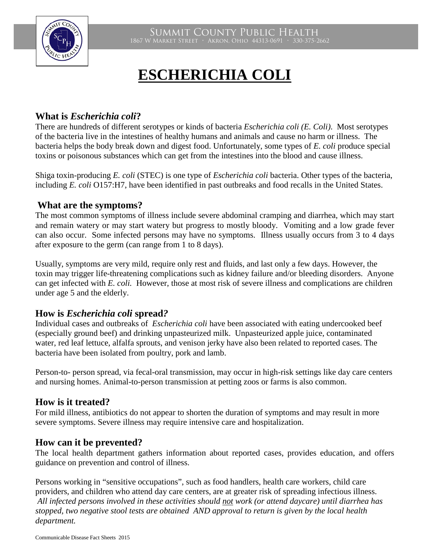

# **ESCHERICHIA COLI**

# **What is** *Escherichia coli***?**

There are hundreds of different serotypes or kinds of bacteria *Escherichia coli (E. Coli)*. Most serotypes of the bacteria live in the intestines of healthy humans and animals and cause no harm or illness. The bacteria helps the body break down and digest food. Unfortunately, some types of *E. coli* produce special toxins or poisonous substances which can get from the intestines into the blood and cause illness.

Shiga toxin-producing *E. coli* (STEC) is one type of *Escherichia coli* bacteria. Other types of the bacteria, including *E. coli* O157:H7, have been identified in past outbreaks and food recalls in the United States.

## **What are the symptoms?**

The most common symptoms of illness include severe abdominal cramping and diarrhea, which may start and remain watery or may start watery but progress to mostly bloody. Vomiting and a low grade fever can also occur. Some infected persons may have no symptoms. Illness usually occurs from 3 to 4 days after exposure to the germ (can range from 1 to 8 days).

Usually, symptoms are very mild, require only rest and fluids, and last only a few days. However, the toxin may trigger life-threatening complications such as kidney failure and/or bleeding disorders. Anyone can get infected with *E. coli.* However, those at most risk of severe illness and complications are children under age 5 and the elderly.

### **How is** *Escherichia coli* **spread***?*

Individual cases and outbreaks of *Escherichia coli* have been associated with eating undercooked beef (especially ground beef) and drinking unpasteurized milk. Unpasteurized apple juice, contaminated water, red leaf lettuce, alfalfa sprouts, and venison jerky have also been related to reported cases. The bacteria have been isolated from poultry, pork and lamb.

Person-to- person spread, via fecal-oral transmission, may occur in high-risk settings like day care centers and nursing homes. Animal-to-person transmission at petting zoos or farms is also common.

# **How is it treated?**

For mild illness, antibiotics do not appear to shorten the duration of symptoms and may result in more severe symptoms. Severe illness may require intensive care and hospitalization.

### **How can it be prevented?**

The local health department gathers information about reported cases, provides education, and offers guidance on prevention and control of illness.

Persons working in "sensitive occupations", such as food handlers, health care workers, child care providers, and children who attend day care centers, are at greater risk of spreading infectious illness. *All infected persons involved in these activities should not work (or attend daycare) until diarrhea has stopped, two negative stool tests are obtained AND approval to return is given by the local health department.*